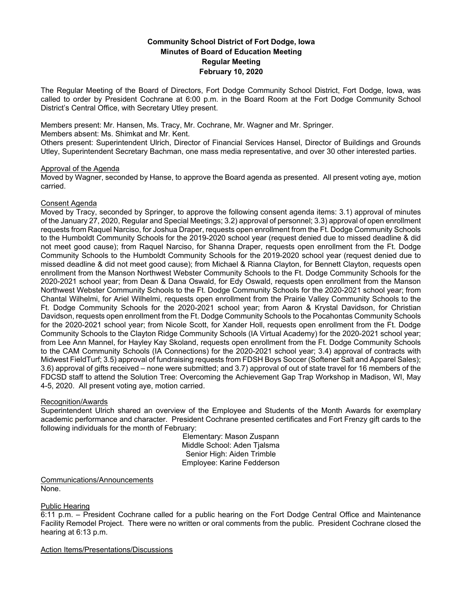# **Community School District of Fort Dodge, Iowa Minutes of Board of Education Meeting Regular Meeting February 10, 2020**

The Regular Meeting of the Board of Directors, Fort Dodge Community School District, Fort Dodge, Iowa, was called to order by President Cochrane at 6:00 p.m. in the Board Room at the Fort Dodge Community School District's Central Office, with Secretary Utley present.

Members present: Mr. Hansen, Ms. Tracy, Mr. Cochrane, Mr. Wagner and Mr. Springer.

Members absent: Ms. Shimkat and Mr. Kent.

Others present: Superintendent Ulrich, Director of Financial Services Hansel, Director of Buildings and Grounds Utley, Superintendent Secretary Bachman, one mass media representative, and over 30 other interested parties.

## Approval of the Agenda

Moved by Wagner, seconded by Hanse, to approve the Board agenda as presented. All present voting aye, motion carried.

## Consent Agenda

Moved by Tracy, seconded by Springer, to approve the following consent agenda items: 3.1) approval of minutes of the January 27, 2020, Regular and Special Meetings; 3.2) approval of personnel; 3.3) approval of open enrollment requests from Raquel Narciso, for Joshua Draper, requests open enrollment from the Ft. Dodge Community Schools to the Humboldt Community Schools for the 2019-2020 school year (request denied due to missed deadline & did not meet good cause); from Raquel Narciso, for Shanna Draper, requests open enrollment from the Ft. Dodge Community Schools to the Humboldt Community Schools for the 2019-2020 school year (request denied due to missed deadline & did not meet good cause); from Michael & Rianna Clayton, for Bennett Clayton, requests open enrollment from the Manson Northwest Webster Community Schools to the Ft. Dodge Community Schools for the 2020-2021 school year; from Dean & Dana Oswald, for Edy Oswald, requests open enrollment from the Manson Northwest Webster Community Schools to the Ft. Dodge Community Schools for the 2020-2021 school year; from Chantal Wilhelmi, for Ariel Wilhelmi, requests open enrollment from the Prairie Valley Community Schools to the Ft. Dodge Community Schools for the 2020-2021 school year; from Aaron & Krystal Davidson, for Christian Davidson, requests open enrollment from the Ft. Dodge Community Schools to the Pocahontas Community Schools for the 2020-2021 school year; from Nicole Scott, for Xander Holl, requests open enrollment from the Ft. Dodge Community Schools to the Clayton Ridge Community Schools (IA Virtual Academy) for the 2020-2021 school year; from Lee Ann Mannel, for Hayley Kay Skoland, requests open enrollment from the Ft. Dodge Community Schools to the CAM Community Schools (IA Connections) for the 2020-2021 school year; 3.4) approval of contracts with Midwest FieldTurf; 3.5) approval of fundraising requests from FDSH Boys Soccer (Softener Salt and Apparel Sales); 3.6) approval of gifts received – none were submitted; and 3.7) approval of out of state travel for 16 members of the FDCSD staff to attend the Solution Tree: Overcoming the Achievement Gap Trap Workshop in Madison, WI, May 4-5, 2020. All present voting aye, motion carried.

## Recognition/Awards

Superintendent Ulrich shared an overview of the Employee and Students of the Month Awards for exemplary academic performance and character. President Cochrane presented certificates and Fort Frenzy gift cards to the following individuals for the month of February:

> Elementary: Mason Zuspann Middle School: Aden Tjalsma Senior High: Aiden Trimble Employee: Karine Fedderson

Communications/Announcements None.

## Public Hearing

6:11 p.m. – President Cochrane called for a public hearing on the Fort Dodge Central Office and Maintenance Facility Remodel Project. There were no written or oral comments from the public. President Cochrane closed the hearing at 6:13 p.m.

Action Items/Presentations/Discussions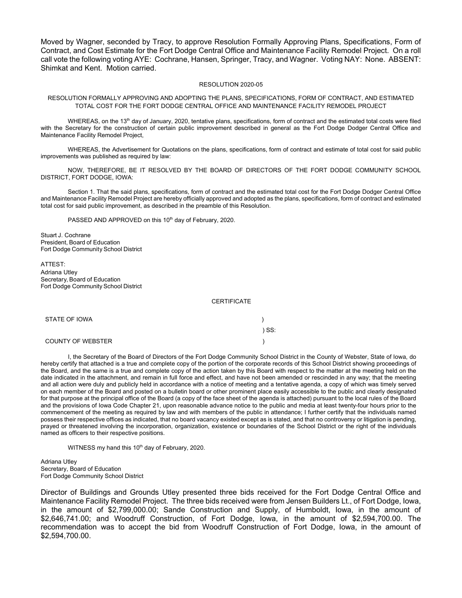Moved by Wagner, seconded by Tracy, to approve Resolution Formally Approving Plans, Specifications, Form of Contract, and Cost Estimate for the Fort Dodge Central Office and Maintenance Facility Remodel Project. On a roll call vote the following voting AYE: Cochrane, Hansen, Springer, Tracy, and Wagner. Voting NAY: None. ABSENT: Shimkat and Kent. Motion carried.

#### RESOLUTION 2020-05

### RESOLUTION FORMALLY APPROVING AND ADOPTING THE PLANS, SPECIFICATIONS, FORM OF CONTRACT, AND ESTIMATED TOTAL COST FOR THE FORT DODGE CENTRAL OFFICE AND MAINTENANCE FACILITY REMODEL PROJECT

WHEREAS, on the 13<sup>th</sup> day of January, 2020, tentative plans, specifications, form of contract and the estimated total costs were filed with the Secretary for the construction of certain public improvement described in general as the Fort Dodge Dodger Central Office and Maintenance Facility Remodel Project,

WHEREAS, the Advertisement for Quotations on the plans, specifications, form of contract and estimate of total cost for said public improvements was published as required by law:

NOW, THEREFORE, BE IT RESOLVED BY THE BOARD OF DIRECTORS OF THE FORT DODGE COMMUNITY SCHOOL DISTRICT, FORT DODGE, IOWA:

Section 1. That the said plans, specifications, form of contract and the estimated total cost for the Fort Dodge Dodger Central Office and Maintenance Facility Remodel Project are hereby officially approved and adopted as the plans, specifications, form of contract and estimated total cost for said public improvement, as described in the preamble of this Resolution.

PASSED AND APPROVED on this 10<sup>th</sup> day of February, 2020.

Stuart J. Cochrane President, Board of Education Fort Dodge Community School District

ATTEST: Adriana Utley Secretary, Board of Education Fort Dodge Community School District

#### **CERTIFICATE**

| STATE OF IOWA     |         |
|-------------------|---------|
|                   | $)$ SS: |
| COUNTY OF WEBSTER |         |

I, the Secretary of the Board of Directors of the Fort Dodge Community School District in the County of Webster, State of Iowa, do hereby certify that attached is a true and complete copy of the portion of the corporate records of this School District showing proceedings of the Board, and the same is a true and complete copy of the action taken by this Board with respect to the matter at the meeting held on the date indicated in the attachment, and remain in full force and effect, and have not been amended or rescinded in any way; that the meeting and all action were duly and publicly held in accordance with a notice of meeting and a tentative agenda, a copy of which was timely served on each member of the Board and posted on a bulletin board or other prominent place easily accessible to the public and clearly designated for that purpose at the principal office of the Board (a copy of the face sheet of the agenda is attached) pursuant to the local rules of the Board and the provisions of Iowa Code Chapter 21, upon reasonable advance notice to the public and media at least twenty-four hours prior to the commencement of the meeting as required by law and with members of the public in attendance; I further certify that the individuals named possess their respective offices as indicated, that no board vacancy existed except as is stated, and that no controversy or litigation is pending, prayed or threatened involving the incorporation, organization, existence or boundaries of the School District or the right of the individuals named as officers to their respective positions.

WITNESS my hand this 10<sup>th</sup> day of February, 2020.

Adriana Utley Secretary, Board of Education Fort Dodge Community School District

Director of Buildings and Grounds Utley presented three bids received for the Fort Dodge Central Office and Maintenance Facility Remodel Project. The three bids received were from Jensen Builders Lt., of Fort Dodge, Iowa, in the amount of \$2,799,000.00; Sande Construction and Supply, of Humboldt, Iowa, in the amount of \$2,646,741.00; and Woodruff Construction, of Fort Dodge, Iowa, in the amount of \$2,594,700.00. The recommendation was to accept the bid from Woodruff Construction of Fort Dodge, Iowa, in the amount of \$2,594,700.00.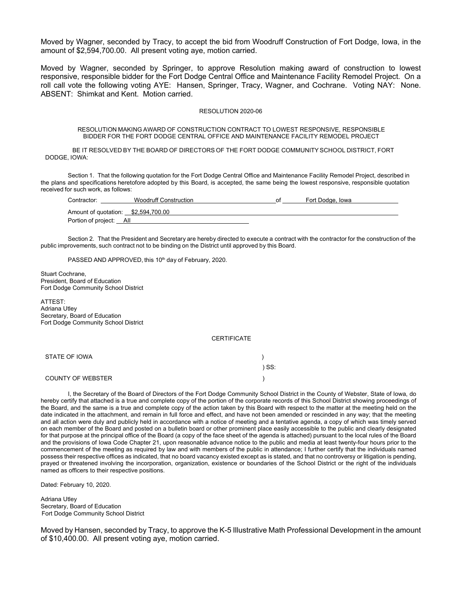Moved by Wagner, seconded by Tracy, to accept the bid from Woodruff Construction of Fort Dodge, Iowa, in the amount of \$2,594,700.00. All present voting aye, motion carried.

Moved by Wagner, seconded by Springer, to approve Resolution making award of construction to lowest responsive, responsible bidder for the Fort Dodge Central Office and Maintenance Facility Remodel Project. On a roll call vote the following voting AYE: Hansen, Springer, Tracy, Wagner, and Cochrane. Voting NAY: None. ABSENT: Shimkat and Kent. Motion carried.

### RESOLUTION 2020-06

#### RESOLUTION MAKING AWARD OF CONSTRUCTION CONTRACT TO LOWEST RESPONSIVE, RESPONSIBLE BIDDER FOR THE FORT DODGE CENTRAL OFFICE AND MAINTENANCE FACILITY REMODEL PROJECT

BE IT RESOLVED BY THE BOARD OF DIRECTORS OF THE FORT DODGE COMMUNITY SCHOOL DISTRICT, FORT DODGE, IOWA:

Section 1. That the following quotation for the Fort Dodge Central Office and Maintenance Facility Remodel Project*,* described in the plans and specifications heretofore adopted by this Board, is accepted, the same being the lowest responsive, responsible quotation received for such work, as follows:

| Contractor:                         | <b>Woodruff Construction</b> | nt | Fort Dodge, Iowa |
|-------------------------------------|------------------------------|----|------------------|
| Amount of quotation: \$2,594,700.00 |                              |    |                  |
| Portion of project: All             |                              |    |                  |

Section 2. That the President and Secretary are hereby directed to execute a contract with the contractor for the construction of the public improvements, such contract not to be binding on the District until approved by this Board.

PASSED AND APPROVED, this 10<sup>th</sup> day of February, 2020.

Stuart Cochrane, President, Board of Education Fort Dodge Community School District

ATTEST: Adriana Utley Secretary, Board of Education Fort Dodge Community School District

**CERTIFICATE** 

| STATE OF IOWA            |       |
|--------------------------|-------|
|                          | ) SS: |
| <b>COUNTY OF WEBSTER</b> |       |

I, the Secretary of the Board of Directors of the Fort Dodge Community School District in the County of Webster, State of Iowa, do hereby certify that attached is a true and complete copy of the portion of the corporate records of this School District showing proceedings of the Board, and the same is a true and complete copy of the action taken by this Board with respect to the matter at the meeting held on the date indicated in the attachment, and remain in full force and effect, and have not been amended or rescinded in any way; that the meeting and all action were duly and publicly held in accordance with a notice of meeting and a tentative agenda, a copy of which was timely served on each member of the Board and posted on a bulletin board or other prominent place easily accessible to the public and clearly designated for that purpose at the principal office of the Board (a copy of the face sheet of the agenda is attached) pursuant to the local rules of the Board and the provisions of Iowa Code Chapter 21, upon reasonable advance notice to the public and media at least twenty-four hours prior to the commencement of the meeting as required by law and with members of the public in attendance; I further certify that the individuals named possess their respective offices as indicated, that no board vacancy existed except as is stated, and that no controversy or litigation is pending, prayed or threatened involving the incorporation, organization, existence or boundaries of the School District or the right of the individuals named as officers to their respective positions.

Dated: February 10, 2020.

Adriana Utley Secretary, Board of Education Fort Dodge Community School District

Moved by Hansen, seconded by Tracy, to approve the K-5 Illustrative Math Professional Development in the amount of \$10,400.00. All present voting aye, motion carried.